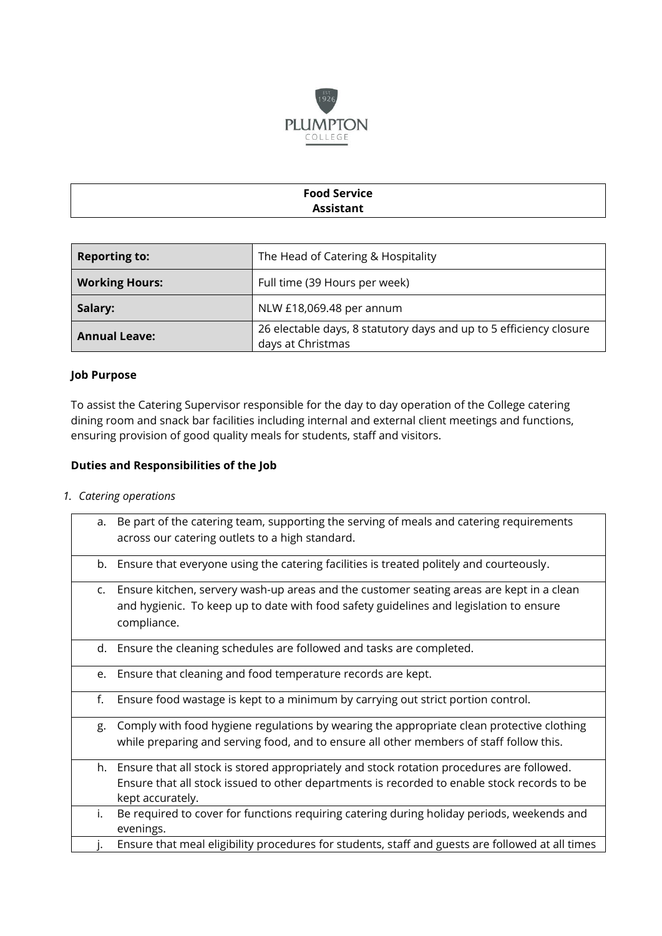

# **Food Service Assistant**

| <b>Reporting to:</b>  | The Head of Catering & Hospitality                                                      |
|-----------------------|-----------------------------------------------------------------------------------------|
| <b>Working Hours:</b> | Full time (39 Hours per week)                                                           |
| Salary:               | NLW £18,069.48 per annum                                                                |
| <b>Annual Leave:</b>  | 26 electable days, 8 statutory days and up to 5 efficiency closure<br>days at Christmas |

## **Job Purpose**

To assist the Catering Supervisor responsible for the day to day operation of the College catering dining room and snack bar facilities including internal and external client meetings and functions, ensuring provision of good quality meals for students, staff and visitors.

## **Duties and Responsibilities of the Job**

*1. Catering operations* 

| a. | Be part of the catering team, supporting the serving of meals and catering requirements          |
|----|--------------------------------------------------------------------------------------------------|
|    | across our catering outlets to a high standard.                                                  |
|    | b. Ensure that everyone using the catering facilities is treated politely and courteously.       |
| C. | Ensure kitchen, servery wash-up areas and the customer seating areas are kept in a clean         |
|    | and hygienic. To keep up to date with food safety guidelines and legislation to ensure           |
|    | compliance.                                                                                      |
|    | d. Ensure the cleaning schedules are followed and tasks are completed.                           |
| e. | Ensure that cleaning and food temperature records are kept.                                      |
| f. | Ensure food wastage is kept to a minimum by carrying out strict portion control.                 |
| g. | Comply with food hygiene regulations by wearing the appropriate clean protective clothing        |
|    | while preparing and serving food, and to ensure all other members of staff follow this.          |
|    | h. Ensure that all stock is stored appropriately and stock rotation procedures are followed.     |
|    | Ensure that all stock issued to other departments is recorded to enable stock records to be      |
|    | kept accurately.                                                                                 |
| i. | Be required to cover for functions requiring catering during holiday periods, weekends and       |
|    | evenings.                                                                                        |
|    | Ensure that meal eligibility procedures for students, staff and guests are followed at all times |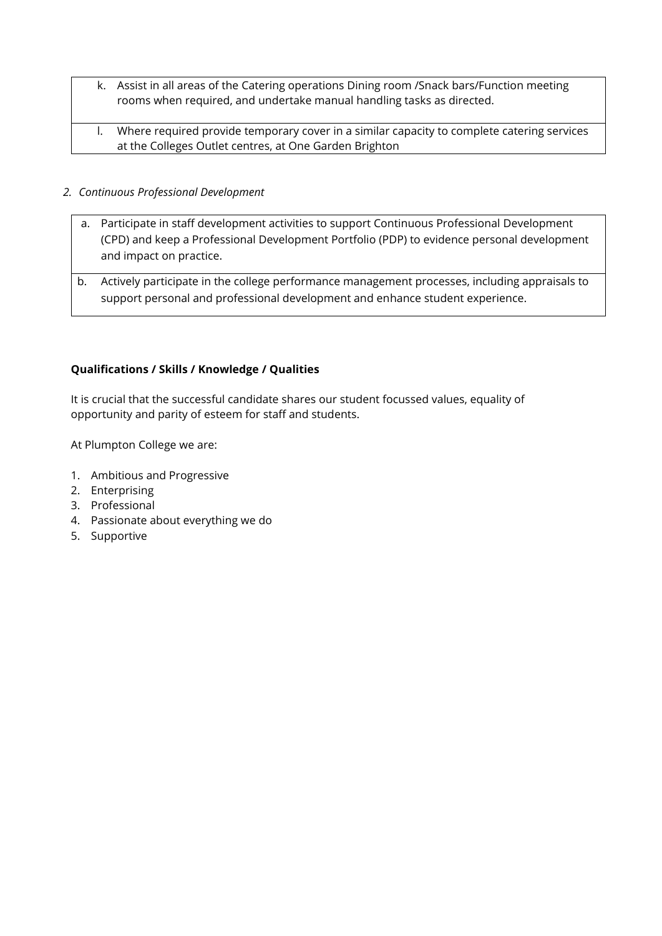- k. Assist in all areas of the Catering operations Dining room /Snack bars/Function meeting rooms when required, and undertake manual handling tasks as directed.
- l. Where required provide temporary cover in a similar capacity to complete catering services at the Colleges Outlet centres, at One Garden Brighton

## *2. Continuous Professional Development*

- a. Participate in staff development activities to support Continuous Professional Development (CPD) and keep a Professional Development Portfolio (PDP) to evidence personal development and impact on practice.
- b. Actively participate in the college performance management processes, including appraisals to support personal and professional development and enhance student experience.

## **Qualifications / Skills / Knowledge / Qualities**

It is crucial that the successful candidate shares our student focussed values, equality of opportunity and parity of esteem for staff and students.

At Plumpton College we are:

- 1. Ambitious and Progressive
- 2. Enterprising
- 3. Professional
- 4. Passionate about everything we do
- 5. Supportive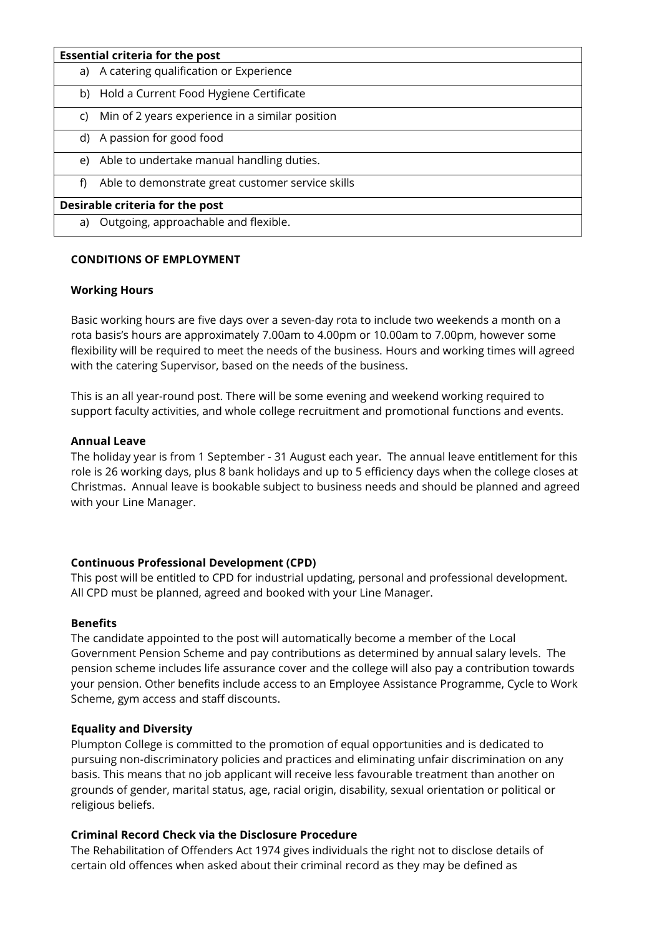| <b>Essential criteria for the post</b> |                                                   |
|----------------------------------------|---------------------------------------------------|
|                                        | a) A catering qualification or Experience         |
| b)                                     | Hold a Current Food Hygiene Certificate           |
| C)                                     | Min of 2 years experience in a similar position   |
|                                        | d) A passion for good food                        |
|                                        | e) Able to undertake manual handling duties.      |
| f)                                     | Able to demonstrate great customer service skills |
| Desirable criteria for the post        |                                                   |
| a)                                     | Outgoing, approachable and flexible.              |

## **CONDITIONS OF EMPLOYMENT**

#### **Working Hours**

Basic working hours are five days over a seven-day rota to include two weekends a month on a rota basis's hours are approximately 7.00am to 4.00pm or 10.00am to 7.00pm, however some flexibility will be required to meet the needs of the business. Hours and working times will agreed with the catering Supervisor, based on the needs of the business.

This is an all year-round post. There will be some evening and weekend working required to support faculty activities, and whole college recruitment and promotional functions and events.

#### **Annual Leave**

The holiday year is from 1 September - 31 August each year. The annual leave entitlement for this role is 26 working days, plus 8 bank holidays and up to 5 efficiency days when the college closes at Christmas. Annual leave is bookable subject to business needs and should be planned and agreed with your Line Manager.

## **Continuous Professional Development (CPD)**

This post will be entitled to CPD for industrial updating, personal and professional development. All CPD must be planned, agreed and booked with your Line Manager.

#### **Benefits**

The candidate appointed to the post will automatically become a member of the Local Government Pension Scheme and pay contributions as determined by annual salary levels. The pension scheme includes life assurance cover and the college will also pay a contribution towards your pension. Other benefits include access to an Employee Assistance Programme, Cycle to Work Scheme, gym access and staff discounts.

## **Equality and Diversity**

Plumpton College is committed to the promotion of equal opportunities and is dedicated to pursuing non-discriminatory policies and practices and eliminating unfair discrimination on any basis. This means that no job applicant will receive less favourable treatment than another on grounds of gender, marital status, age, racial origin, disability, sexual orientation or political or religious beliefs.

## **Criminal Record Check via the Disclosure Procedure**

The Rehabilitation of Offenders Act 1974 gives individuals the right not to disclose details of certain old offences when asked about their criminal record as they may be defined as